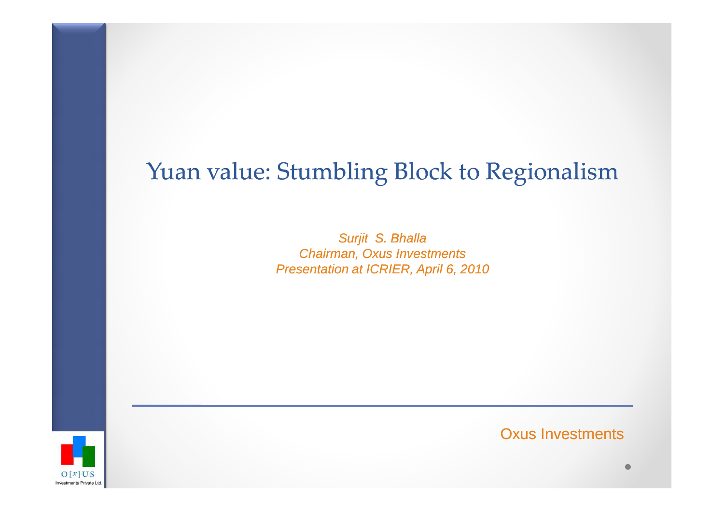#### Yuan value: Stumbling Block to Regionalism

Surjit S. Bhalla Chairman, Oxus InvestmentsPresentation at ICRIER, April 6, 2010



Oxus Investments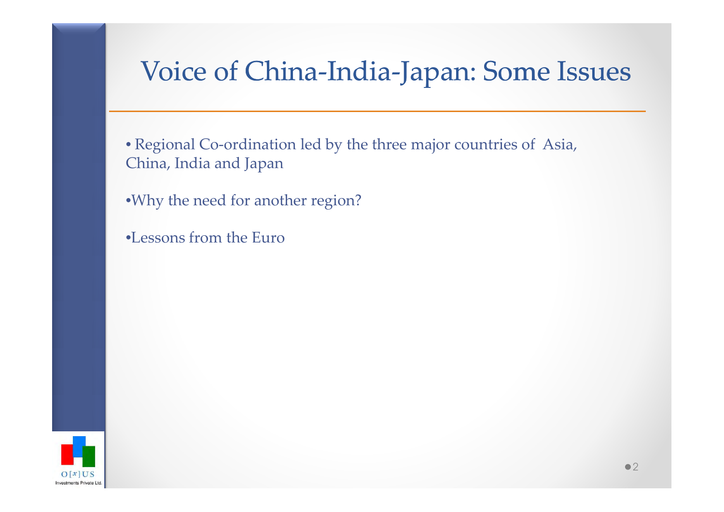# Voice of China-India-Japan: Some Issues

• Regional Co-ordination led by the three major countries of Asia, China, India and Japan

•Why the need for another region?

•Lessons from the Euro

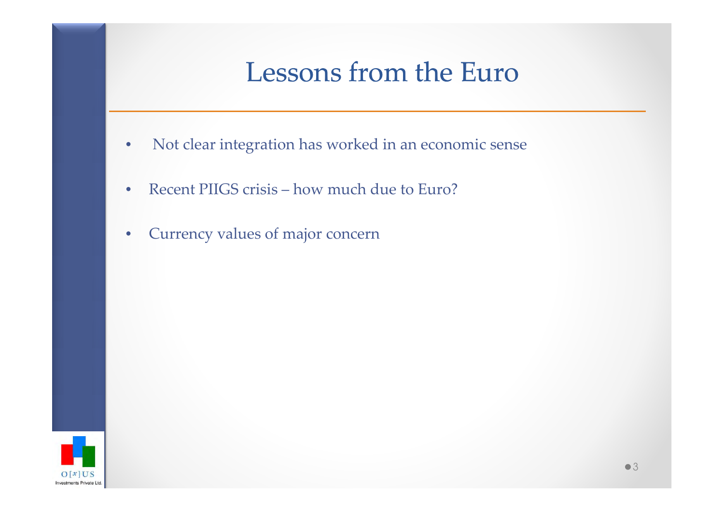### Lessons from the Euro

- •Not clear integration has worked in an economic sense
- $\bullet$ Recent PIIGS crisis – how much due to Euro?
- •Currency values of major concern

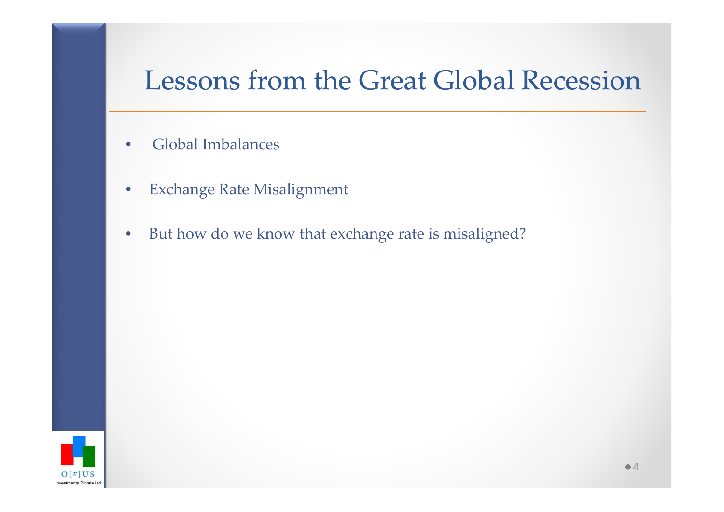#### Lessons from the Great Global Recession

- •Global Imbalances
- $\bullet$ Exchange Rate Misalignment
- $\bullet$ But how do we know that exchange rate is misaligned?

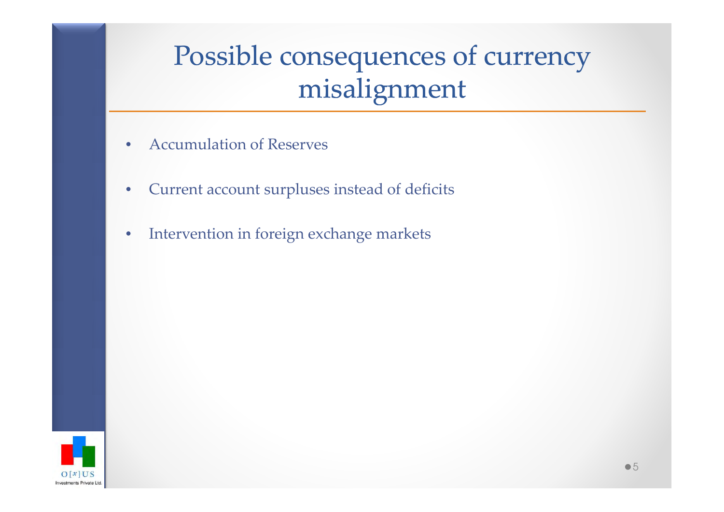# Possible consequences of currency misalignment

- $\bullet$ Accumulation of Reserves
- $\bullet$ Current account surpluses instead of deficits
- •Intervention in foreign exchange markets

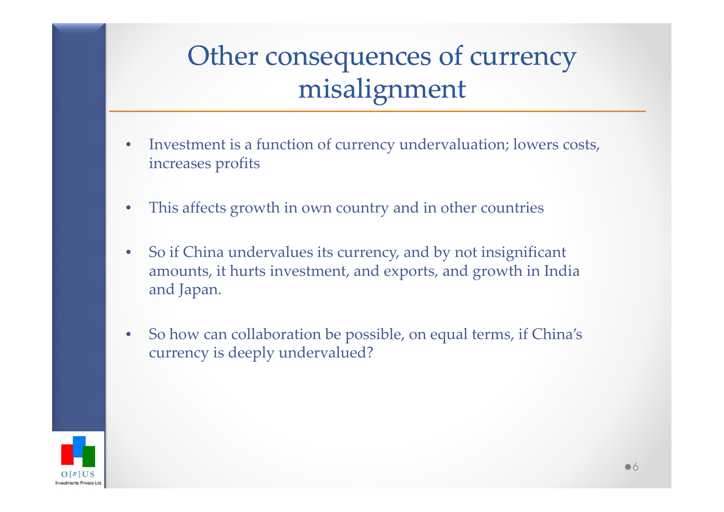## Other consequences of currency misalignment

- $\bullet$ Investment is a function of currency undervaluation; lowers costs, increases profits
- $\bullet$ This affects growth in own country and in other countries
- $\bullet$  So if China undervalues its currency, and by not insignificant amounts, it hurts investment, and exports, and growth in India and Japan.
- $\bullet$  So how can collaboration be possible, on equal terms, if China's currency is deeply undervalued?

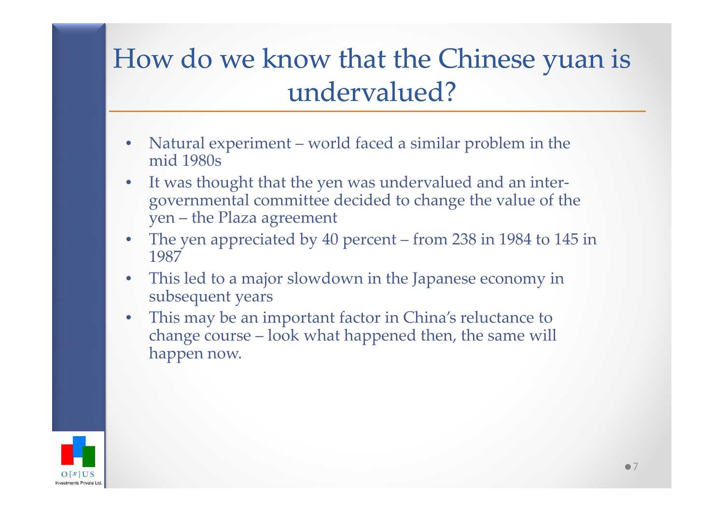## How do we know that the Chinese yuan is undervalued?

- $\bullet$ Natural experiment – world faced a similar problem in the mid 1980s
- $\bullet$  It was thought that the yen was undervalued and an intergovernmental committee decided to change the value of the yen – the Plaza agreement
- • The yen appreciated by 40 percent – from 238 in 1984 to 145 in 1987
- $\bullet$  This led to a major slowdown in the Japanese economy in subsequent years
- • This may be an important factor in China's reluctance to change course – look what happened then, the same will happen now.

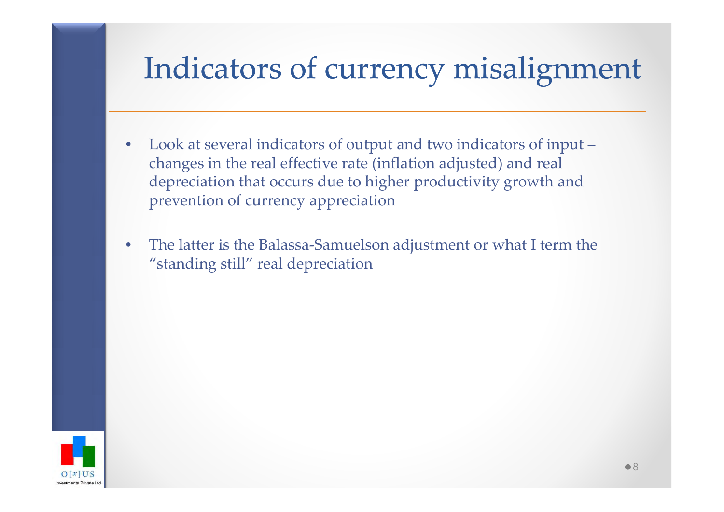# Indicators of currency misalignment

- $\bullet$ Look at several indicators of output and two indicators of input –changes in the real effective rate (inflation adjusted) and real depreciation that occurs due to higher productivity growth and prevention of currency appreciation
- $\bullet$  The latter is the Balassa-Samuelson adjustment or what I term the "standing still" real depreciation

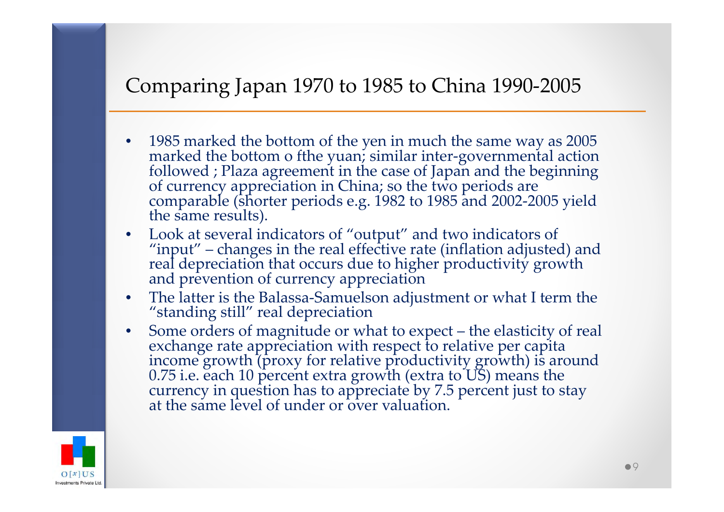#### Comparing Japan 1970 to 1985 to China 1990-2005

- •1985 marked the bottom of the yen in much the same way as 2005 marked the bottom o fthe yuan; similar inter-governmental action followed ; Plaza agreement in the case of Japan and the beginning of currency appreciation in
- •• Look at several indicators of "output" and two indicators of "input" – changes in the real effective rate (inflation adjusted Look at several indicators of "output" and two indicators of "input" – changes in the real effective rate (inflation adjusted) and real depreciation that occurs due to higher productivity growth and prevention of currency appreciation
- The latter is the Balassa-Samuelson adjustment or what I term the "standing still" real depreciation•
- Some orders of magnitude or what to expect the elasticity of real •exchange rate appreciation with respect to relative per capita<br>income growth (proxy for relative productivity growth) is around<br>0.75 i.e. each 10 percent extra growth (extra to US) means the<br>currency in question has to app

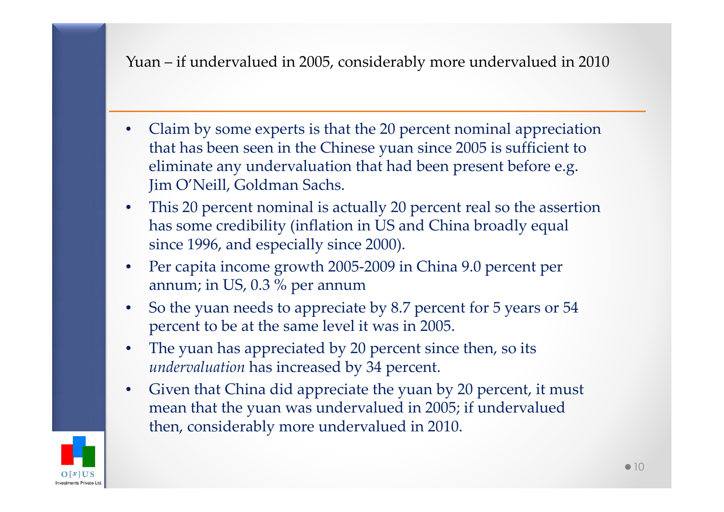#### Yuan – if undervalued in 2005, considerably more undervalued in 2010

- • Claim by some experts is that the 20 percent nominal appreciation that has been seen in the Chinese yuan since 2005 is sufficient to eliminate any undervaluation that had been present before e.g. Jim O'Neill, Goldman Sachs.
- • This 20 percent nominal is actually 20 percent real so the assertion has some credibility (inflation in US and China broadly equal since 1996, and especially since 2000).
- Per capita income growth 2005-2009 in China 9.0 percent per •annum; in US, 0.3 % per annum
- So the yuan needs to appreciate by 8.7 percent for 5 years or 54 •percent to be at the same level it was in 2005.
- • The yuan has appreciated by 20 percent since then, so its *undervaluation* has increased by 34 percent.
- $\bullet$  Given that China did appreciate the yuan by 20 percent, it must mean that the yuan was undervalued in 2005; if undervalued then, considerably more undervalued in 2010.

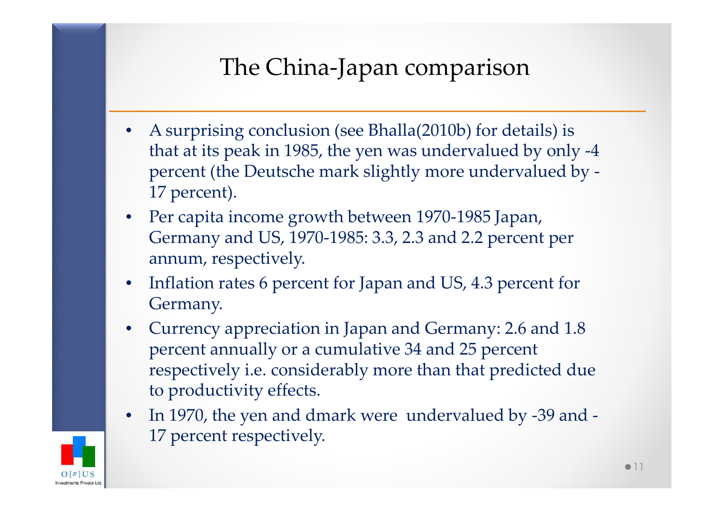#### The China-Japan comparison

- • A surprising conclusion (see Bhalla(2010b) for details) is that at its peak in 1985, the yen was undervalued by only -4 percent (the Deutsche mark slightly more undervalued by -17 percent).
- Per capita income growth between 1970-1985 Japan, Germany and US, 1970-1985: 3.3, 2.3 and 2.2 percent per annum, respectively.
- • Inflation rates 6 percent for Japan and US, 4.3 percent for Germany.
- • Currency appreciation in Japan and Germany: 2.6 and 1.8 percent annually or a cumulative 34 and 25 percent respectively i.e. considerably more than that predicted due to productivity effects.
- $\bullet$  In 1970, the yen and dmark were undervalued by -39 and - 17 percent respectively.

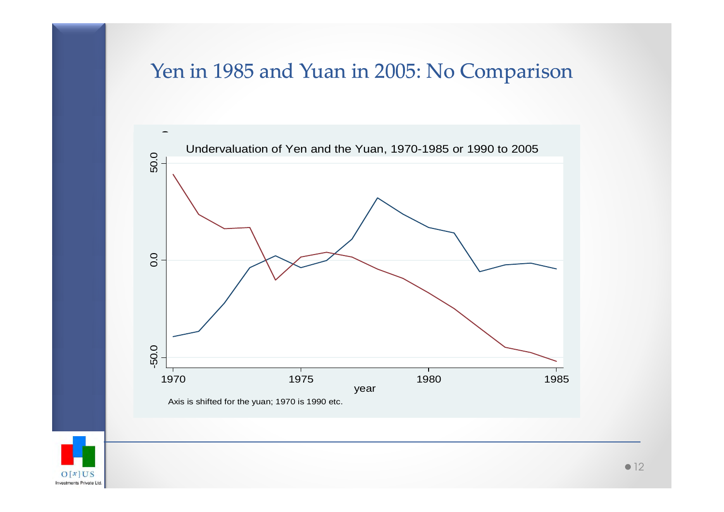#### Yen in 1985 and Yuan in 2005: No Comparison